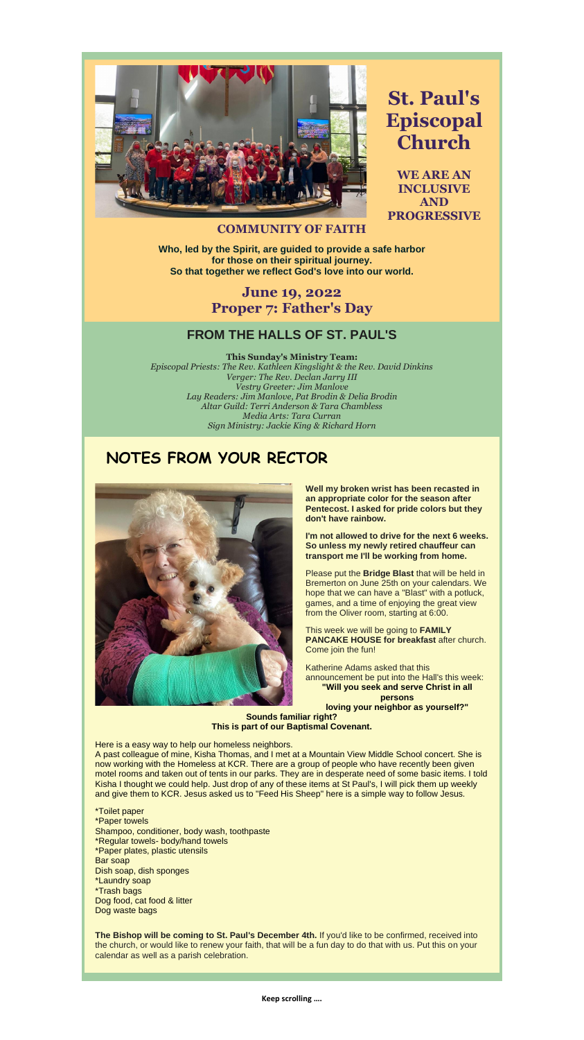

**St. Paul's Episcopal Church**

**WE ARE AN INCLUSIVE AND PROGRESSIVE** 

#### **COMMUNITY OF FAITH**

**Who, led by the Spirit, are guided to provide a safe harbor for those on their spiritual journey. So that together we reflect God's love into our world.**

#### **June 19, 2022 Proper 7: Father's Day**

#### **FROM THE HALLS OF ST. PAUL'S**

**This Sunday's Ministry Team:**

*Episcopal Priests: The Rev. Kathleen Kingslight & the Rev. David Dinkins Verger: The Rev. Declan Jarry III Vestry Greeter: Jim Manlove Lay Readers: Jim Manlove, Pat Brodin & Delia Brodin Altar Guild: Terri Anderson & Tara Chambless Media Arts: Tara Curran Sign Ministry: Jackie King & Richard Horn*

#### **NOTES FROM YOUR RECTOR**



**Well my broken wrist has been recasted in an appropriate color for the season after Pentecost. I asked for pride colors but they don't have rainbow.**

**I'm not allowed to drive for the next 6 weeks. So unless my newly retired chauffeur can transport me I'll be working from home.**

Please put the **Bridge Blast** that will be held in Bremerton on June 25th on your calendars. We hope that we can have a "Blast" with a potluck, games, and a time of enjoying the great view from the Oliver room, starting at 6:00.

This week we will be going to **FAMILY PANCAKE HOUSE for breakfast** after church.

Come join the fun!

Katherine Adams asked that this announcement be put into the Hall's this week: **"Will you seek and serve Christ in all persons**

**loving your neighbor as yourself?"**

**Sounds familiar right? This is part of our Baptismal Covenant.**

Here is a easy way to help our homeless neighbors.

A past colleague of mine, Kisha Thomas, and I met at a Mountain View Middle School concert. She is now working with the Homeless at KCR. There are a group of people who have recently been given motel rooms and taken out of tents in our parks. They are in desperate need of some basic items. I told Kisha I thought we could help. Just drop of any of these items at St Paul's, I will pick them up weekly and give them to KCR. Jesus asked us to "Feed His Sheep" here is a simple way to follow Jesus.

\*Toilet paper \*Paper towels Shampoo, conditioner, body wash, toothpaste \*Regular towels- body/hand towels \*Paper plates, plastic utensils Bar soap Dish soap, dish sponges \*Laundry soap \*Trash bags Dog food, cat food & litter Dog waste bags

**The Bishop will be coming to St. Paul's December 4th.** If you'd like to be confirmed, received into the church, or would like to renew your faith, that will be a fun day to do that with us. Put this on your calendar as well as a parish celebration.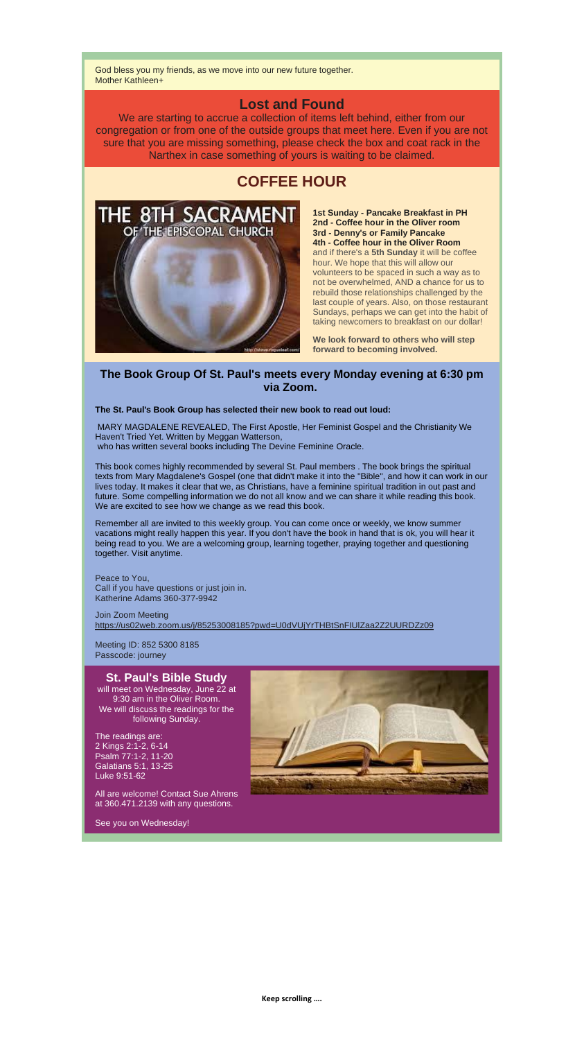God bless you my friends, as we move into our new future together. Mother Kathleen+

#### **Lost and Found**

We are starting to accrue a collection of items left behind, either from our congregation or from one of the outside groups that meet here. Even if you are not sure that you are missing something, please check the box and coat rack in the Narthex in case something of yours is waiting to be claimed.

### **COFFEE HOUR**



**1st Sunday - Pancake Breakfast in PH 2nd - Coffee hour in the Oliver room 3rd - Denny's or Family Pancake 4th - Coffee hour in the Oliver Room** and if there's a **5th Sunday** it will be coffee hour. We hope that this will allow our volunteers to be spaced in such a way as to not be overwhelmed, AND a chance for us to rebuild those relationships challenged by the last couple of years. Also, on those restaurant Sundays, perhaps we can get into the habit of taking newcomers to breakfast on our dollar!

**We look forward to others who will step forward to becoming involved.**

#### **The Book Group Of St. Paul's meets every Monday evening at 6:30 pm via Zoom.**

**The St. Paul's Book Group has selected their new book to read out loud:**

MARY MAGDALENE REVEALED, The First Apostle, Her Feminist Gospel and the Christianity We Haven't Tried Yet. Written by Meggan Watterson, who has written several books including The Devine Feminine Oracle.

This book comes highly recommended by several St. Paul members . The book brings the spiritual texts from Mary Magdalene's Gospel (one that didn't make it into the "Bible", and how it can work in our lives today. It makes it clear that we, as Christians, have a feminine spiritual tradition in out past and future. Some compelling information we do not all know and we can share it while reading this book. We are excited to see how we change as we read this book.

Remember all are invited to this weekly group. You can come once or weekly, we know summer vacations might really happen this year. If you don't have the book in hand that is ok, you will hear it being read to you. We are a welcoming group, learning together, praying together and questioning together. Visit anytime.

Peace to You, Call if you have questions or just join in. Katherine Adams 360-377-9942

Join Zoom Meeting [https://us02web.zoom.us/j/85253008185?pwd=U0dVUjYrTHBtSnFIUlZaa2Z2UURDZz09](https://r20.rs6.net/tn.jsp?f=001smPzftrDGqcFRwaa3NJ8_3k9u2w3tubMRFVwYnM3vX0lTt90D1hyGDMbKUJMpPminrIIA9TX5u7W22w1_dPhhygQmFSsqAK4glJp14TsdLziTjWnuJHYmGVkVakuUKObIA0m_Af7K2qX6aaHH_oSx2NFVVt1oB8shVNdqI0lvm4P0Q5oQz__DDy-7nbvWjhdmmMVCs1H48XeSOo4J-1-tXOc2m24IfNU&c=Sz6pXFn8J9b-FcadEvElUioJ7YKByX6LkgUX8vIvaynQKKWnWSo_5g==&ch=O0Liy_TZjI0pcEB5f8NNIQC8AwgqnJfQ7KROS-Cl7LqLsJCoXvwMsQ==)

Meeting ID: 852 5300 8185

Passcode: journey

#### **St. Paul's Bible Study**

will meet on Wednesday, June 22 at 9:30 am in the Oliver Room. We will discuss the readings for the following Sunday.

The readings are: 2 Kings 2:1-2, 6-14 Psalm 77:1-2, 11-20 Galatians 5:1, 13-25 Luke 9:51-62

All are welcome! Contact Sue Ahrens at 360.471.2139 with any questions.

See you on Wednesday!